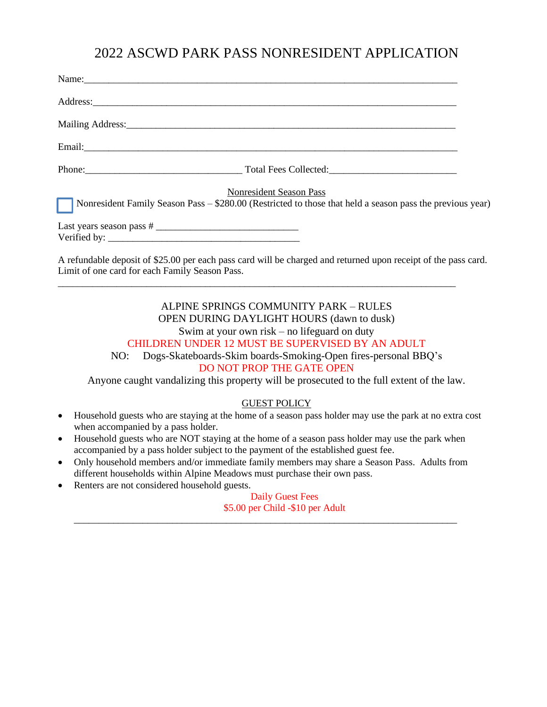## 2022 ASCWD PARK PASS NONRESIDENT APPLICATION

| Name: Name and the second contract of the second contract of the second contract of the second contract of the second contract of the second contract of the second contract of the second contract of the second contract of |  |
|-------------------------------------------------------------------------------------------------------------------------------------------------------------------------------------------------------------------------------|--|
|                                                                                                                                                                                                                               |  |
|                                                                                                                                                                                                                               |  |
|                                                                                                                                                                                                                               |  |
|                                                                                                                                                                                                                               |  |
| <b>Nonresident Season Pass</b>                                                                                                                                                                                                |  |
| Nonresident Family Season Pass - \$280.00 (Restricted to those that held a season pass the previous year)                                                                                                                     |  |
| $Verified by: \_\_\_\_\_\_\_\_\_\_\_\_$                                                                                                                                                                                       |  |
| A refundable deposit of \$25.00 per each pass card will be charged and returned upon receipt of the pass card.<br>Limit of one card for each Family Season Pass.                                                              |  |

ALPINE SPRINGS COMMUNITY PARK – RULES OPEN DURING DAYLIGHT HOURS (dawn to dusk) Swim at your own risk – no lifeguard on duty CHILDREN UNDER 12 MUST BE SUPERVISED BY AN ADULT NO: Dogs-Skateboards-Skim boards-Smoking-Open fires-personal BBQ's DO NOT PROP THE GATE OPEN Anyone caught vandalizing this property will be prosecuted to the full extent of the law.

## GUEST POLICY

- Household guests who are staying at the home of a season pass holder may use the park at no extra cost when accompanied by a pass holder.
- Household guests who are NOT staying at the home of a season pass holder may use the park when accompanied by a pass holder subject to the payment of the established guest fee.

\_\_\_\_\_\_\_\_\_\_\_\_\_\_\_\_\_\_\_\_\_\_\_\_\_\_\_\_\_\_\_\_\_\_\_\_\_\_\_\_\_\_\_\_\_\_\_\_\_\_\_\_\_\_\_\_\_\_\_\_\_\_\_\_\_\_\_\_\_\_\_\_\_\_\_\_\_\_\_\_\_

- Only household members and/or immediate family members may share a Season Pass. Adults from different households within Alpine Meadows must purchase their own pass.
- Renters are not considered household guests.

Daily Guest Fees \$5.00 per Child -\$10 per Adult \_\_\_\_\_\_\_\_\_\_\_\_\_\_\_\_\_\_\_\_\_\_\_\_\_\_\_\_\_\_\_\_\_\_\_\_\_\_\_\_\_\_\_\_\_\_\_\_\_\_\_\_\_\_\_\_\_\_\_\_\_\_\_\_\_\_\_\_\_\_\_\_\_\_\_\_\_\_